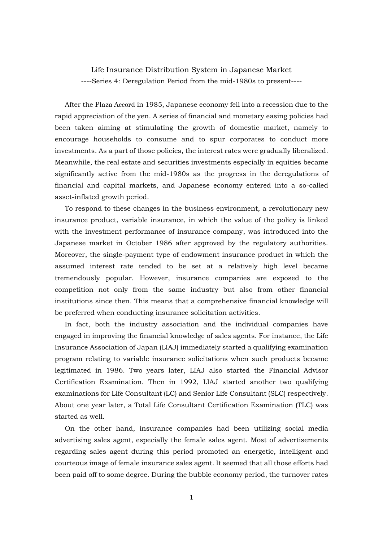Life Insurance Distribution System in Japanese Market ----Series 4: Deregulation Period from the mid-1980s to present----

After the Plaza Accord in 1985, Japanese economy fell into a recession due to the rapid appreciation of the yen. A series of financial and monetary easing policies had been taken aiming at stimulating the growth of domestic market, namely to encourage households to consume and to spur corporates to conduct more investments. As a part of those policies, the interest rates were gradually liberalized. Meanwhile, the real estate and securities investments especially in equities became significantly active from the mid-1980s as the progress in the deregulations of financial and capital markets, and Japanese economy entered into a so-called asset-inflated growth period.

To respond to these changes in the business environment, a revolutionary new insurance product, variable insurance, in which the value of the policy is linked with the investment performance of insurance company, was introduced into the Japanese market in October 1986 after approved by the regulatory authorities. Moreover, the single-payment type of endowment insurance product in which the assumed interest rate tended to be set at a relatively high level became tremendously popular. However, insurance companies are exposed to the competition not only from the same industry but also from other financial institutions since then. This means that a comprehensive financial knowledge will be preferred when conducting insurance solicitation activities.

In fact, both the industry association and the individual companies have engaged in improving the financial knowledge of sales agents. For instance, the Life Insurance Association of Japan (LIAJ) immediately started a qualifying examination program relating to variable insurance solicitations when such products became legitimated in 1986. Two years later, LIAJ also started the Financial Advisor Certification Examination. Then in 1992, LIAJ started another two qualifying examinations for Life Consultant (LC) and Senior Life Consultant (SLC) respectively. About one year later, a Total Life Consultant Certification Examination (TLC) was started as well.

On the other hand, insurance companies had been utilizing social media advertising sales agent, especially the female sales agent. Most of advertisements regarding sales agent during this period promoted an energetic, intelligent and courteous image of female insurance sales agent. It seemed that all those efforts had been paid off to some degree. During the bubble economy period, the turnover rates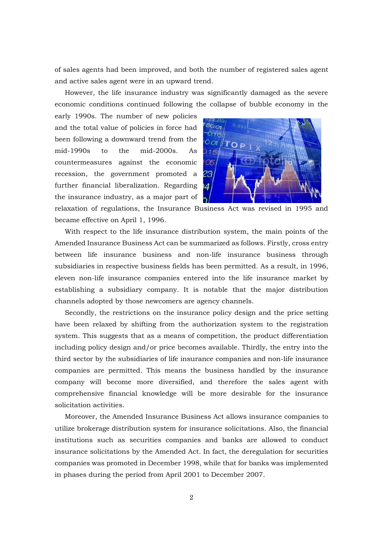of sales agents had been improved, and both the number of registered sales agent and active sales agent were in an upward trend.

However, the life insurance industry was significantly damaged as the severe economic conditions continued following the collapse of bubble economy in the

early 1990s. The number of new policies and the total value of policies in force had been following a downward trend from the mid-1990s to the mid-2000s. As countermeasures against the economic recession, the government promoted a further financial liberalization. Regarding the insurance industry, as a major part of



relaxation of regulations, the Insurance Business Act was revised in 1995 and became effective on April 1, 1996.

With respect to the life insurance distribution system, the main points of the Amended Insurance Business Act can be summarized as follows. Firstly, cross entry between life insurance business and non-life insurance business through subsidiaries in respective business fields has been permitted. As a result, in 1996, eleven non-life insurance companies entered into the life insurance market by establishing a subsidiary company. It is notable that the major distribution channels adopted by those newcomers are agency channels.

Secondly, the restrictions on the insurance policy design and the price setting have been relaxed by shifting from the authorization system to the registration system. This suggests that as a means of competition, the product differentiation including policy design and/or price becomes available. Thirdly, the entry into the third sector by the subsidiaries of life insurance companies and non-life insurance companies are permitted. This means the business handled by the insurance company will become more diversified, and therefore the sales agent with comprehensive financial knowledge will be more desirable for the insurance solicitation activities.

Moreover, the Amended Insurance Business Act allows insurance companies to utilize brokerage distribution system for insurance solicitations. Also, the financial institutions such as securities companies and banks are allowed to conduct insurance solicitations by the Amended Act. In fact, the deregulation for securities companies was promoted in December 1998, while that for banks was implemented in phases during the period from April 2001 to December 2007.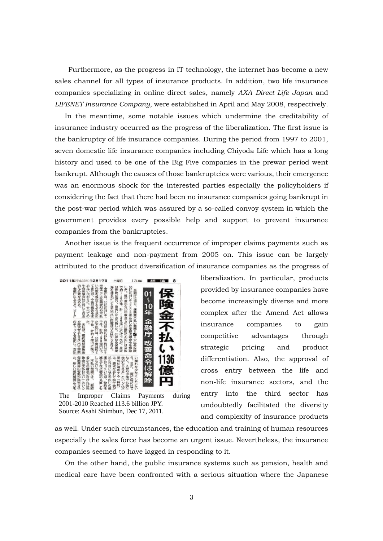Furthermore, as the progress in IT technology, the internet has become a new sales channel for all types of insurance products. In addition, two life insurance companies specializing in online direct sales, namely *AXA Direct Life Japan* and *LIFENET Insurance Company*, were established in April and May 2008, respectively.

In the meantime, some notable issues which undermine the creditability of insurance industry occurred as the progress of the liberalization. The first issue is the bankruptcy of life insurance companies. During the period from 1997 to 2001, seven domestic life insurance companies including Chiyoda Life which has a long history and used to be one of the Big Five companies in the prewar period went bankrupt. Although the causes of those bankruptcies were various, their emergence was an enormous shock for the interested parties especially the policyholders if considering the fact that there had been no insurance companies going bankrupt in the post-war period which was assured by a so-called convoy system in which the government provides every possible help and support to prevent insurance companies from the bankruptcies.

Another issue is the frequent occurrence of improper claims payments such as payment leakage and non-payment from 2005 on. This issue can be largely attributed to the product diversification of insurance companies as the progress of



The Improper Claims Payments during 2001-2010 Reached 113.6 billion JPY. Source: Asahi Shimbun, Dec 17, 2011.

liberalization. In particular, products provided by insurance companies have become increasingly diverse and more complex after the Amend Act allows insurance companies to gain competitive advantages through strategic pricing and product differentiation. Also, the approval of cross entry between the life and non-life insurance sectors, and the entry into the third sector has undoubtedly facilitated the diversity and complexity of insurance products

as well. Under such circumstances, the education and training of human resources especially the sales force has become an urgent issue. Nevertheless, the insurance companies seemed to have lagged in responding to it.

On the other hand, the public insurance systems such as pension, health and medical care have been confronted with a serious situation where the Japanese